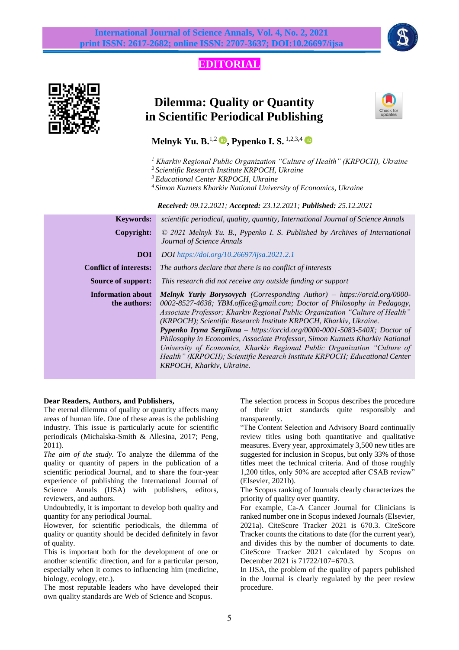## **EDITORIAL**



# **Dilemma: Quality or Quantity in Scientific Periodical Publishing**



**Melnyk Yu. B.**<sup>1,2</sup> **D.** Pypenko I. S.<sup>1,2,3,4</sup> **D** 

- *<sup>1</sup> Kharkiv Regional Public Organization "Culture of Health" (KRPOCH), Ukraine*
- *<sup>2</sup> Scientific Research Institute KRPOCH, Ukraine*

*<sup>3</sup> Educational Center KRPOCH, Ukraine*

*<sup>4</sup> Simon Kuznets Kharkiv National University of Economics, Ukraine*

 *Received: 09.12.2021; Accepted: 23.12.2021; Published: 25.12.2021*

| <b>Keywords:</b>                         | scientific periodical, quality, quantity, International Journal of Science Annals                                                                                                                                                                                                                                                                                                                                                                                                                                                                                                                                                                                             |
|------------------------------------------|-------------------------------------------------------------------------------------------------------------------------------------------------------------------------------------------------------------------------------------------------------------------------------------------------------------------------------------------------------------------------------------------------------------------------------------------------------------------------------------------------------------------------------------------------------------------------------------------------------------------------------------------------------------------------------|
| Copyright:                               | $\odot$ 2021 Melnyk Yu. B., Pypenko I. S. Published by Archives of International<br>Journal of Science Annals                                                                                                                                                                                                                                                                                                                                                                                                                                                                                                                                                                 |
| <b>DOI</b>                               | <b>DOI</b> https://doi.org/10.26697/ijsa.2021.2.1                                                                                                                                                                                                                                                                                                                                                                                                                                                                                                                                                                                                                             |
| <b>Conflict of interests:</b>            | The authors declare that there is no conflict of interests                                                                                                                                                                                                                                                                                                                                                                                                                                                                                                                                                                                                                    |
| <b>Source of support:</b>                | This research did not receive any outside funding or support                                                                                                                                                                                                                                                                                                                                                                                                                                                                                                                                                                                                                  |
| <b>Information about</b><br>the authors: | <b>Melnyk Yuriy Borysovych</b> (Corresponding Author) – https://orcid.org/0000-<br>0002-8527-4638; YBM.office@gmail.com; Doctor of Philosophy in Pedagogy,<br>Associate Professor; Kharkiv Regional Public Organization "Culture of Health"<br>(KRPOCH); Scientific Research Institute KRPOCH, Kharkiv, Ukraine.<br><b>Pypenko Iryna Sergiivna</b> – https://orcid.org/0000-0001-5083-540X; Doctor of<br>Philosophy in Economics, Associate Professor, Simon Kuznets Kharkiv National<br>University of Economics, Kharkiv Regional Public Organization "Culture of<br>Health" (KRPOCH); Scientific Research Institute KRPOCH; Educational Center<br>KRPOCH, Kharkiv, Ukraine. |

### **Dear Readers, Authors, and Publishers,**

The eternal dilemma of quality or quantity affects many areas of human life. One of these areas is the publishing industry. This issue is particularly acute for scientific periodicals (Michalska-Smith & Allesina, 2017; Peng, 2011).

*The aim of the study.* To analyze the dilemma of the quality or quantity of papers in the publication of a scientific periodical Journal, and to share the four-year experience of publishing the International Journal of Science Annals (IJSA) with publishers, editors, reviewers, and authors.

Undoubtedly, it is important to develop both quality and quantity for any periodical Journal.

However, for scientific periodicals, the dilemma of quality or quantity should be decided definitely in favor of quality.

This is important both for the development of one or another scientific direction, and for a particular person, especially when it comes to influencing him (medicine, biology, ecology, etc.).

The most reputable leaders who have developed their own quality standards are Web of Science and Scopus.

The selection process in Scopus describes the procedure of their strict standards quite responsibly and transparently.

"The Content Selection and Advisory Board continually review titles using both quantitative and qualitative measures. Every year, approximately 3,500 new titles are suggested for inclusion in Scopus, but only 33% of those titles meet the technical criteria. And of those roughly 1,200 titles, only 50% are accepted after CSAB review" (Elsevier, 2021b).

The Scopus ranking of Journals clearly characterizes the priority of quality over quantity.

For example, Ca-A Cancer Journal for Clinicians is ranked number one in Scopus indexed Journals (Elsevier, 2021a). CiteScore Tracker 2021 is 670.3. CiteScore Tracker counts the citations to date (for the current year), and divides this by the number of documents to date. CiteScore Tracker 2021 calculated by Scopus on December 2021 is 71722/107=670.3.

In IJSA, the problem of the quality of papers published in the Journal is clearly regulated by the peer review procedure.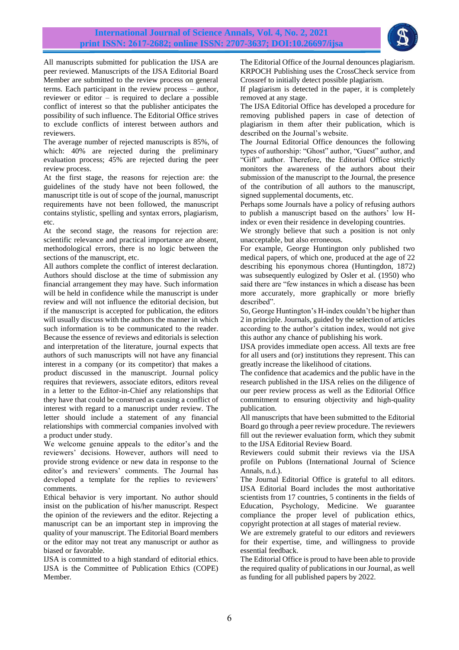

All manuscripts submitted for publication the IJSA are peer reviewed. Manuscripts of the IJSA Editorial Board Member are submitted to the review process on general terms. Each participant in the review process – author, reviewer or editor – is required to declare a possible conflict of interest so that the publisher anticipates the possibility of such influence. The Editorial Office strives to exclude conflicts of interest between authors and reviewers.

The average number of rejected manuscripts is 85%, of which: 40% are rejected during the preliminary evaluation process; 45% are rejected during the peer review process.

At the first stage, the reasons for rejection are: the guidelines of the study have not been followed, the manuscript title is out of scope of the journal, manuscript requirements have not been followed, the manuscript contains stylistic, spelling and syntax errors, plagiarism, etc.

At the second stage, the reasons for rejection are: scientific relevance and practical importance are absent, methodological errors, there is no logic between the sections of the manuscript, etc.

All authors complete the conflict of interest declaration. Authors should disclose at the time of submission any financial arrangement they may have. Such information will be held in confidence while the manuscript is under review and will not influence the editorial decision, but if the manuscript is accepted for publication, the editors will usually discuss with the authors the manner in which such information is to be communicated to the reader. Because the essence of reviews and editorials is selection and interpretation of the literature, journal expects that authors of such manuscripts will not have any financial interest in a company (or its competitor) that makes a product discussed in the manuscript. Journal policy requires that reviewers, associate editors, editors reveal in a letter to the Editor-in-Chief any relationships that they have that could be construed as causing a conflict of interest with regard to a manuscript under review. The letter should include a statement of any financial relationships with commercial companies involved with a product under study.

We welcome genuine appeals to the editor's and the reviewers' decisions. However, authors will need to provide strong evidence or new data in response to the editor's and reviewers' comments. The Journal has developed a template for the replies to reviewers' comments.

Ethical behavior is very important. No author should insist on the publication of his/her manuscript. Respect the opinion of the reviewers and the editor. Rejecting a manuscript can be an important step in improving the quality of your manuscript. The Editorial Board members or the editor may not treat any manuscript or author as biased or favorable.

IJSA is committed to a high standard of editorial ethics. [IJSA is the Committee of Publication Ethics \(COPE\)](https://publicationethics.org/members/international-journal-science-annals)  [Member](https://publicationethics.org/members/international-journal-science-annals)*.*

The Editorial Office of the Journal denounces plagiarism. KRPOCH Publishing uses the CrossCheck service from Crossref to initially detect possible plagiarism.

If plagiarism is detected in the paper, it is completely removed at any stage.

The IJSA Editorial Office has developed a procedure for removing published papers in case of detection of plagiarism in them after their publication, which is described on the Journal's website.

The Journal Editorial Office denounces the following types of authorship: "Ghost" author, "Guest" author, and "Gift" author. Therefore, the Editorial Office strictly monitors the awareness of the authors about their submission of the manuscript to the Journal, the presence of the contribution of all authors to the manuscript, signed supplemental documents, etc.

Perhaps some Journals have a policy of refusing authors to publish a manuscript based on the authors' low Hindex or even their residence in developing countries.

We strongly believe that such a position is not only unacceptable, but also erroneous.

For example, George Huntington only published two medical papers, of which one, produced at the age of 22 describing his eponymous chorea (Huntingdon, 1872) was subsequently eulogized by Osler et al. (1950) who said there are "few instances in which a disease has been more accurately, more graphically or more briefly described".

So, George Huntington's H-index couldn't be higher than 2 in principle. Journals, guided by the selection of articles according to the author's citation index, would not give this author any chance of publishing his work.

IJSA provides immediate open access. All texts are free for all users and (or) institutions they represent. This can greatly increase the likelihood of citations.

The confidence that academics and the public have in the research published in the IJSA relies on the diligence of our peer review process as well as the Editorial Office commitment to ensuring objectivity and high-quality publication.

All manuscripts that have been submitted to the Editorial Board go through a peer review procedure. The reviewers fill out the reviewer evaluation form, which they submit to the IJSA Editorial Review Board.

Reviewers could submit their reviews via the IJSA profile on [Publons](https://publons.com/journal/105740/international-journal-of-science-annals-ijsa) (International Journal of Science Annals, n.d.).

The Journal Editorial Office is grateful to all editors. IJSA Editorial Board includes the most authoritative scientists from 17 countries, 5 continents in the fields of Education, Psychology, Medicine. We guarantee compliance the proper level of publication ethics, copyright protection at all stages of material review.

We are extremely grateful to our editors and reviewers for their expertise, time, and willingness to provide essential feedback.

The Editorial Office is proud to have been able to provide the required quality of publications in our Journal, as well as funding for all published papers by 2022.